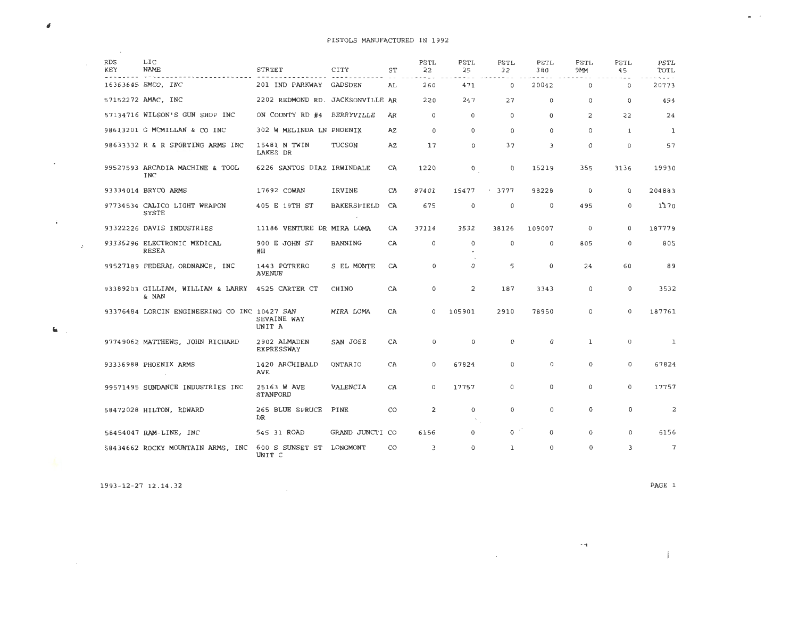| <b>RDS</b><br>KEY | LIC<br><b>NAME</b>                           | <b>STREET</b>                      | CITY               | ST | PSTL<br>22     | PSTL<br>25     | PSTL<br>32   | <b>PSTL</b><br>380 | PSTL<br>9MM  | PSTL<br>45     | PSTL<br>TOTL |
|-------------------|----------------------------------------------|------------------------------------|--------------------|----|----------------|----------------|--------------|--------------------|--------------|----------------|--------------|
|                   | 16363645 EMCO, INC                           | 201 IND PARKWAY GADSDEN            |                    | AL | 260            | 471            | $\circ$      | 20042              | $\mathbf 0$  | $\mathbf 0$    | 20773        |
|                   | 57152272 AMAC, INC                           | 2202 REDMOND RD. JACKSONVILLE AR   |                    |    | 220            | 247            | 27           | $^{\circ}$         | $\mathbf 0$  | $\Omega$       | 494          |
|                   | 57134716 WILSON'S GUN SHOP INC               | ON COUNTY RD #4                    | <b>BERRYVILLE</b>  | AR | $\mathbf{0}$   | $\mathbf 0$    | $\Omega$     | $\mathbf 0$        | 2            | 22             | 24           |
|                   | 98613201 G MCMILLAN & CO INC                 | 302 W MELINDA LN PHOENIX           |                    | AZ | $\mathbf 0$    | $\mathbf 0$    | $\Omega$     | $\Omega$           | $\Omega$     | 1              | 1            |
|                   | 98633332 R & R SPORTING ARMS INC             | 15481 N TWIN<br>LAKES DR           | TUCSON             | ΑZ | 17             | 0              | 37           | 3                  | $\mathbf 0$  | $\overline{0}$ | 57           |
|                   | 99527593 ARCADIA MACHINE & TOOL<br>INC       | 6226 SANTOS DIAZ IRWINDALE         |                    | CA | 1220           | 0              | 0            | 15219              | 355          | 3136           | 19930        |
|                   | 93334014 BRYCO ARMS                          | 17692 COWAN                        | IRVINE             | CA | 87401          | 15477          | 3777<br>٠    | 98228              | $\mathbf 0$  | $\mathbf 0$    | 204883       |
|                   | 97734534 CALICO LIGHT WEAPON<br><b>SYSTE</b> | 405 E 19TH ST                      | <b>BAKERSFIELD</b> | CA | 675            | $\mathbf 0$    | $\mathbb O$  | 0                  | 495          | 0              | 1770         |
|                   | 93322226 DAVIS INDUSTRIES                    | 11186 VENTURE DR MIRA LOMA         |                    | CA | 37114          | 3532           | 38126        | 109007             | $\theta$     | $\Omega$       | 187779       |
|                   | 93335296 ELECTRONIC MEDICAL<br>RESEA         | 900 E JOHN ST<br>#H                | <b>BANNING</b>     | CA | $\Omega$       | $\Omega$       | $\Omega$     | $\mathbf 0$        | 805          | $\mathbf 0$    | 805          |
|                   | 99527189 FEDERAL ORDNANCE, INC               | 1443 POTRERO<br><b>AVENUE</b>      | S EL MONTE         | CA | $\mathbf 0$    | $\Omega$       | 5            | $\mathbf 0$        | 24           | 60             | 89           |
|                   | 93389203 GILLIAM, WILLIAM & LARRY<br>& NAN   | 4525 CARTER CT                     | CHINO              | CA | $\mathbf 0$    | $\overline{c}$ | 187          | 3343               | $\mathbf 0$  | $\mathbf 0$    | 3532         |
|                   | 93376484 LORCIN ENGINEERING CO INC 10427 SAN | SEVAINE WAY<br>UNIT A              | MIRA LOMA          | CA | $\Omega$       | 105901         | 2910         | 78950              | $\mathbf{0}$ | $\mathbf 0$    | 187761       |
|                   | 97749062 MATTHEWS, JOHN RICHARD              | 2902 ALMADEN<br><b>EXPRESSWAY</b>  | SAN JOSE           | CA | $\mathbf 0$    | $\Omega$       | 0            | $\mathbf 0$        | $\mathbf{1}$ | $\overline{0}$ | 1            |
|                   | 93336988 PHOENIX ARMS                        | 1420 ARCHIBALD<br><b>AVE</b>       | ONTARIO            | CA | $\Omega$       | 67824          | $\Omega$     | $\mathbf 0$        | $\mathbf 0$  | $\Omega$       | 67824        |
|                   | 99571495 SUNDANCE INDUSTRIES INC             | 25163 W AVE<br>STANFORD            | VALENCIA           | CA | $\Omega$       | 17757          | $\Omega$     | $\mathbf 0$        | $\Omega$     | $\Omega$       | 17757        |
|                   | 58472028 HILTON, EDWARD                      | 265 BLUE SPRUCE<br><b>DR</b>       | PINE               | CO | $\overline{2}$ | 0              | 0            | 0                  | 0            | $\mathbf 0$    | 2            |
|                   | 58454047 RAM-LINE, INC                       | 545 31 ROAD                        | GRAND JUNCTI CO    |    | 6156           | 0              | 0            | $\Omega$           | $\mathbf 0$  | $\Omega$       | 6156         |
|                   | 58434662 ROCKY MOUNTAIN ARMS, INC            | 600 S SUNSET ST LONGMONT<br>UNIT C |                    | CO | 3              | $\Omega$       | $\mathbf{1}$ | 0                  | $\mathbf 0$  | 3              | 7            |

1993-12-27 12.14.32

 $\pmb{\delta}$ 

 $\sim$ 

 $\mathbf{q}_i$ 

**CALCULUM** 

 $\sim 10^{11}$ 

 $\sim 10^{11}$  km  $^{-1}$ 

 $\alpha$  ,  $\alpha$  ,  $\alpha$  ,  $\alpha$  ,  $\alpha$ 

PAGE 1

 $\mathbf{i}$ 

 $\sim$  100  $\pm$ 

 $\sim 100$ 

 $\bullet$  . <br> :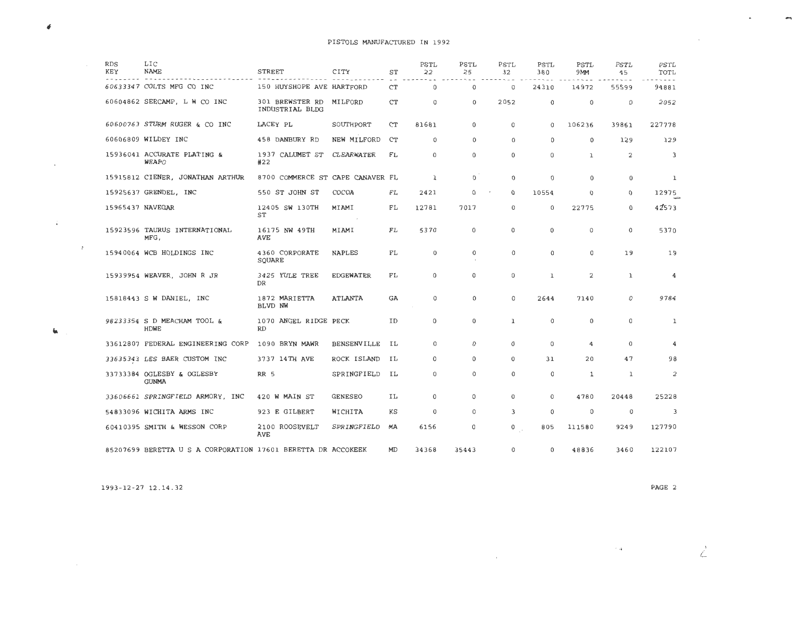| <b>RDS</b><br>KEY | LIC<br>NAME                                                  | <b>STREET</b>                      | CITY               | ST        | PSTL<br>22  | PSTL<br>25  | PSTL<br>32   | PSTL<br>380  | PSTL<br>9MM  | PSTL<br>45     | PSTL<br>TOTL            |
|-------------------|--------------------------------------------------------------|------------------------------------|--------------------|-----------|-------------|-------------|--------------|--------------|--------------|----------------|-------------------------|
|                   | 60633347 COLTS MFG CO INC                                    | 150 HUYSHOPE AVE HARTFORD          |                    | <b>CT</b> | $\mathbf 0$ | 0           | $\mathbf 0$  | 24310        | 14972        | 55599          | 94881                   |
|                   | 60604862 SEECAMP, L W CO INC                                 | 301 BREWSTER RD<br>INDUSTRIAL BLDG | MILFORD            | <b>CT</b> | 0           | $\Omega$    | 2052         | 0            | $\mathbf 0$  | $\mathbf 0$    | 2052                    |
|                   | 60600763 STURM RUGER & CO INC                                | LACEY PL                           | SOUTHPORT          | <b>CT</b> | 81681       | $\mathbf 0$ | 0            | 0            | 106236       | 39861          | 227778                  |
|                   | 60606809 WILDEY INC                                          | 458 DANBURY RD                     | NEW MILFORD        | CT        | 0           | $\Omega$    | 0            | 0            | $\Omega$     | 129            | 129                     |
|                   | 15936041 ACCURATE PLATING &<br><b>WEAPO</b>                  | 1937 CALUMET ST<br>#22             | CLEARWATER         | FL        | 0           | $\mathbf 0$ | $\mathbf 0$  | $\mathbf 0$  | $\mathbf{1}$ | $\overline{2}$ | $\overline{3}$          |
|                   | 15915812 CIENER, JONATHAN ARTHUR                             | 8700 COMMERCE ST CAPE CANAVER FL   |                    |           | 1           | $\Omega$    | 0            | 0            | 0            | 0              | 1                       |
|                   | 15925637 GRENDEL, INC                                        | 550 ST JOHN ST                     | COCOA              | FL        | 2421        | 0           | $\Omega$     | 10554        | $\Omega$     | $\Omega$       | 12975                   |
|                   | 15965437 NAVEGAR                                             | 12405 SW 130TH<br>ST               | MIAMI              | FL        | 12781       | 7017        | $\mathbf 0$  | $\mathbf 0$  | 22775        | 0              | 42573                   |
|                   | 15923596 TAURUS INTERNATIONAL<br>MFG,                        | 16175 NW 49TH<br>AVE               | MIAMI              | FL        | 5370        | $\mathbf 0$ | $\mathbf 0$  | 0            | 0            | 0              | 5370                    |
|                   | 15940064 WCB HOLDINGS INC                                    | 4360 CORPORATE<br>SQUARE           | <b>NAPLES</b>      | FL        | 0           | $\mathbf 0$ | 0            | 0            | 0            | 19             | 19                      |
|                   | 15939954 WEAVER, JOHN R JR                                   | 3425 YULE TREE<br>DR               | <b>EDGEWATER</b>   | FL        | 0           | $\Omega$    | $\Omega$     | $\mathbf{I}$ | 2            | $\mathbf{1}$   | 4                       |
|                   | 15818443 S W DANIEL, INC                                     | 1872 MARIETTA<br>BLVD NW           | <b>ATLANTA</b>     | GA        | 0           | 0           | $\Omega$     | 2644         | 7140         | 0              | 9784                    |
|                   | 98233354 S D MEACHAM TOOL &<br><b>HDWE</b>                   | 1070 ANGEL RIDGE PECK<br><b>RD</b> |                    | ID        | 0           | $\Omega$    | $\mathbf{1}$ | $\Omega$     | $\mathbf{0}$ | $\Omega$       | 1                       |
|                   | 33612807 FEDERAL ENGINEERING CORP                            | 1090 BRYN MAWR                     | <b>BENSENVILLE</b> | IL        | 0           | $\Omega$    | 0            | $\mathbf 0$  | 4            | $\Omega$       | 4                       |
|                   | 33635343 LES BAER CUSTOM INC                                 | 3737 14TH AVE                      | ROCK ISLAND        | IL        | $\mathbf 0$ | 0           | 0            | 31           | 20           | 47             | 98                      |
|                   | 33733384 OGLESBY & OGLESBY<br><b>GUNMA</b>                   | <b>RR 5</b>                        | SPRINGFIELD        | IL        | $\mathbf 0$ | 0           | 0            | 0            | $\mathbf 1$  | ı              | 2                       |
|                   | 33606661 SPRINGFIELD ARMORY, INC                             | 420 W MAIN ST                      | <b>GENESEO</b>     | IL        | 0           | 0           | $\Omega$     | $\Omega$     | 4780         | 20448          | 25228                   |
|                   | 54833096 WICHITA ARMS INC                                    | 923 E GILBERT                      | WICHITA            | KS        | 0           | $\circ$     | 3            | $\mathbf 0$  | 0            | 0              | $\overline{\mathbf{3}}$ |
|                   | 60410395 SMITH & WESSON CORP                                 | 2100 ROOSEVELT<br>AVE              | SPRINGFIELD        | МA        | 6156        | 0           | 0            | 805          | 111580       | 9249           | 127790                  |
|                   | 85207699 BERETTA U S A CORPORATION 17601 BERETTA DR ACCOKEEK |                                    |                    | MD        | 34368       | 35443       | 0            | 0            | 48836        | 3460           | 122107                  |

1993-12-27 12.14.32

#

 $\sim$ 

 $\mathbf{t}_\mathrm{R}$ 

 $\mathcal{A}(\mathcal{A})$  and  $\mathcal{A}(\mathcal{A})$ 

 $\mathcal{L}=\mathcal{L}$ 

 $\sim 10^{11}$  km  $^{-1}$ 

 $\sim 10$ 

PAGE 2

 $\angle$ 

 $\overline{\phantom{a}}$ 

·.1

 $\alpha$  and  $\alpha$  . The  $\alpha$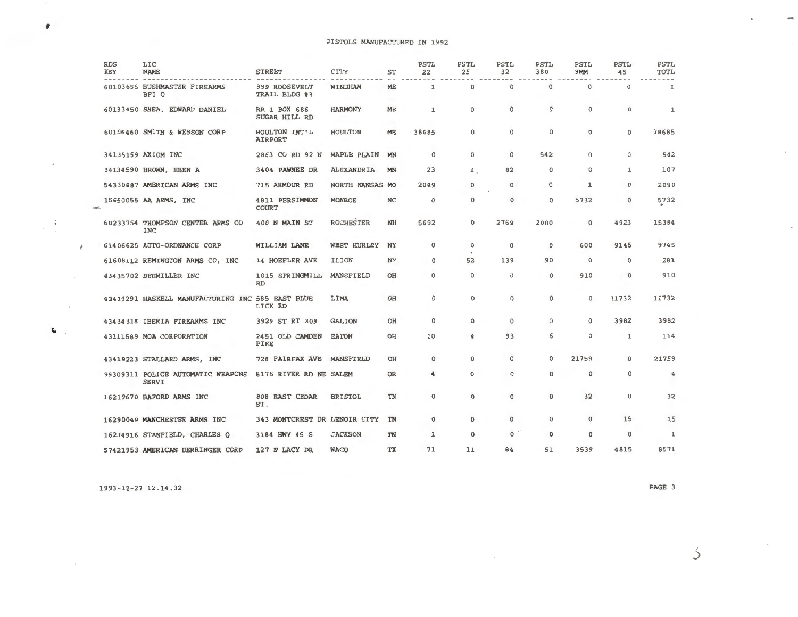| <b>RDS</b><br>KEY | LIC<br><b>NAME</b>                                | <b>STREET</b>                  | CITY                   | <b>ST</b> | <b>PSTL</b><br>22 | PSTL<br>25             | <b>PSTL</b><br>32 | PSTL<br>380 | <b>PSTL</b><br>9MM | <b>PSTL</b><br>45 | <b>PSTL</b><br>TOTL     |
|-------------------|---------------------------------------------------|--------------------------------|------------------------|-----------|-------------------|------------------------|-------------------|-------------|--------------------|-------------------|-------------------------|
|                   | 60103655 BUSHMASTER FIREARMS<br>BFI O             | 999 ROOSEVELT<br>TRAIL BLDG #3 | WINDHAM                | ME        | ı                 | $\mathbf 0$            | $\mathbf{0}$      | $\mathbf 0$ | $\mathbf 0$        | $\mathbf 0$       | 1                       |
|                   | 60133450 SHEA, EDWARD DANIEL                      | RR 1 BOX 686<br>SUGAR HILL RD  | <b>HARMONY</b>         | ME        | ı                 | $\mathbf 0$            | $\circ$           | $\mathbf 0$ | $\Omega$           | $\mathbf 0$       | 1                       |
|                   | 60106460 SMITH & WESSON CORP                      | HOULTON INT'L<br>AIRPORT       | HOULTON                | ME        | 38685             | $\mathbf 0$            | $\mathbf 0$       | $\mathbf 0$ | $\circ$            | $\mathbf 0$       | 38685                   |
|                   | 34135159 AXIOM INC                                | 2863 CO RD 92 N                | <b>MAPLE PLAIN</b>     | MN        | $\mathbf 0$       | $\mathbf 0$            | $\Omega$          | 542         | $\Omega$           | 0                 | 542                     |
|                   | 34134590 BROWN, EBEN A                            | 3404 PAWNEE DR                 | <b>ALEXANDRIA</b>      | MN        | 23                | $\mathbf{1}$           | 82                | $\mathbf 0$ | 0                  | $\mathbf{1}$      | 107                     |
|                   | 54330887 AMERICAN ARMS INC                        | 715 ARMOUR RD                  | <b>NORTH KANSAS MO</b> |           | 2089              | 0                      | 0                 | 0           | $\mathbf{1}$       | 0                 | 2090                    |
|                   | 15650055 AA ARMS, INC                             | 4811 PERSIMMON<br><b>COURT</b> | <b>MONROE</b>          | <b>NC</b> | $\circ$           | 0                      | $\circ$           | $\circ$     | 5732               | 0                 | 5732                    |
|                   | 60233754 THOMPSON CENTER ARMS CO<br><b>INC</b>    | 400 N MAIN ST                  | <b>ROCHESTER</b>       | NH        | 5692              | 0                      | 2769              | 2000        | $\mathbf 0$        | 4923              | 15384                   |
|                   | 61406625 AUTO-ORDNANCE CORP                       | WILLIAM LANE                   | <b>WEST HURLEY</b>     | NY        | $\circ$           | $\mathbf 0$<br>$\cdot$ | $\mathbf 0$       | $\circ$     | 600                | 9145              | 9745                    |
|                   | 61608112 REMINGTON ARMS CO, INC                   | <b>14 HOEFLER AVE</b>          | <b>ILION</b>           | <b>NY</b> | 0                 | 52                     | 139               | 90          | $\mathbf 0$        | $\circ$           | 281                     |
|                   | 43435702 BEEMILLER INC                            | 1015 SPRINGMILL<br><b>RD</b>   | <b>MANSFIELD</b>       | OH        | $\circ$           | $\circ$                | $\mathbf 0$       | 0           | 910                | $\mathbf 0$       | 910                     |
|                   | 43419291 HASKELL MANUFACTURING INC 585 EAST BLUE  | LICK RD                        | LIMA                   | OH        | $\mathbf 0$       | 0                      | $\Omega$          | 0           | $\Omega$           | 11732             | 11732                   |
|                   | 43434316 IBERIA FIREARMS INC                      | 3929 ST RT 309                 | <b>GALION</b>          | OH        | $\mathbf 0$       | 0                      | $\Omega$          | $\Omega$    | 0                  | 3982              | 3982                    |
|                   | 43111589 MOA CORPORATION                          | 2451 OLD CAMDEN<br>PIKE        | <b>EATON</b>           | OH        | 10                | 4                      | 93                | 6           | 0                  | 1                 | 114                     |
|                   | 43419223 STALLARD ARMS, INC                       | 728 FAIRFAX AVE                | MANSFIELD              | OH        | $\mathbf 0$       | 0                      | $\mathbf 0$       | $\circ$     | 21759              | 0                 | 21759                   |
|                   | 99309311 POLICE AUTOMATIC WEAPONS<br><b>SERVI</b> | 8175 RIVER RD NE SALEM         |                        | OR        | 4                 | $\mathbf 0$            | 0                 | $\mathbf 0$ | $\mathbf{0}$       | 0                 | $\overline{\mathbf{4}}$ |
|                   | 16219670 BAFORD ARMS INC                          | <b>808 EAST CEDAR</b><br>ST.   | <b>BRISTOL</b>         | TN        | 0                 | 0                      | $\mathbf 0$       | $\mathbf 0$ | 32                 | 0                 | 32                      |
|                   | 16290049 MANCHESTER ARMS INC                      | 343 MONTCREST DR LENOIR CITY   |                        | <b>TN</b> | 0                 | $\Omega$               | $\mathbf{0}$      | $\Omega$    | $\Omega$           | 15                | 15                      |
|                   | 16234916 STANFIELD, CHARLES O                     | 3184 HWY 45 S                  | <b>JACKSON</b>         | TN        | ı                 | $^{\circ}$             | $\circ$           | $\mathbf 0$ | $\Omega$           | $\mathbf 0$       | 1                       |
|                   | 57421953 AMERICAN DERRINGER CORP                  | 127 N LACY DR                  | <b>WACO</b>            | TX        | 71                | 11                     | 84                | 51          | 3539               | 4815              | 8571                    |

- 12- 27 12 . 14.32

 $\sim$ 

 $\pmb{\theta}$ 

 $\frac{1}{2}$ 

 $\bar{\psi}$ 

 $\sim$ 

 $\mathbf{u}$  .

PAGE 3

Ć

 $\bar{z}$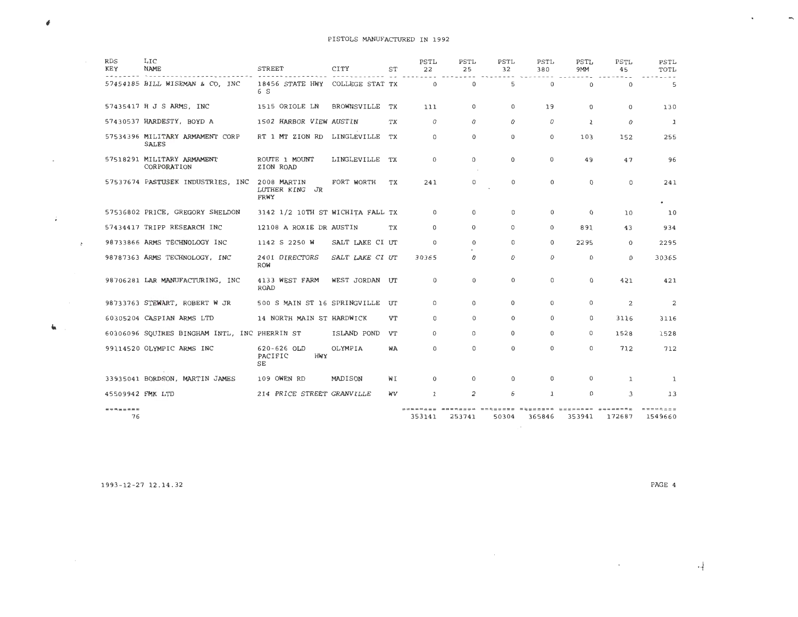|               | <b>RDS</b><br>KEY | LIC<br><b>NAME</b>                            | <b>STREET</b>                           | CITY            | ST        | <b>PSTL</b><br>22 | PSTL<br>25     | PSTL<br>32                        | PSTL<br>380                 | PSTL<br>9MM  | PSTL<br>45   | PSTL<br>TOTL        |
|---------------|-------------------|-----------------------------------------------|-----------------------------------------|-----------------|-----------|-------------------|----------------|-----------------------------------|-----------------------------|--------------|--------------|---------------------|
|               |                   | 57454185 BILL WISEMAN & CO, INC               | 18456 STATE HWY COLLEGE STAT TX<br>6 S  |                 |           | $\Omega$          | $\Omega$       | 5                                 | $\Omega$                    | $\Omega$     | $\Omega$     | 5                   |
|               |                   | 57435417 H J S ARMS, INC                      | 1515 ORIOLE LN                          | BROWNSVILLE TX  |           | 111               | 0              | 0                                 | 19                          | $\Omega$     | 0            | 130                 |
|               |                   | 57430537 HARDESTY, BOYD A                     | 1502 HARBOR VIEW AUSTIN                 |                 | ТX        | $\Omega$          | 0              | $\Omega$                          | 0                           | $\mathbf{1}$ | $\Omega$     | $\mathbf{1}$        |
|               |                   | 57534396 MILITARY ARMAMENT CORP<br>SALES      | RT 1 MT ZION RD LINGLEVILLE             |                 | <b>TX</b> | $^{\circ}$        | $\Omega$       | $\Omega$                          | 0                           | 103          | 152          | 255                 |
|               |                   | 57518291 MILITARY ARMAMENT<br>CORPORATION     | ROUTE 1 MOUNT<br>ZION ROAD              | LINGLEVILLE TX  |           | $\Omega$          | 0              | $\Omega$                          | 0                           | 49           | 47           | 96                  |
|               |                   | 57537674 PASTUSEK INDUSTRIES, INC 2008 MARTIN | LUTHER KING JR<br>FRWY                  | FORT WORTH      | ТX        | 241               | 0              | $\Omega$                          | $\Omega$                    | $\Omega$     | $\Omega$     | 241<br>$\bullet$    |
|               |                   | 57536802 PRICE, GREGORY SHELDON               | 3142 1/2 10TH ST WICHITA FALL TX        |                 |           | $\circ$           | $\Omega$       | 0                                 | 0                           | $\Omega$     | 10           | 10                  |
|               |                   | 57434417 TRIPP RESEARCH INC                   | 12108 A ROXIE DR AUSTIN                 |                 | TX        | $\Omega$          | $\Omega$       | 0                                 | $\Omega$                    | 891          | 43           | 934                 |
| $\mathcal{F}$ |                   | 98733866 ARMS TECHNOLOGY INC                  | 1142 S 2250 W                           | SALT LAKE CI UT |           | $\Omega$          | 0              | 0                                 | 0                           | 2295         | $\Omega$     | 2295                |
|               |                   | 98787363 ARMS TECHNOLOGY, INC                 | 2401 DIRECTORS<br><b>ROW</b>            | SALT LAKE CI UT |           | 30365             | 0              | $\Omega$                          | 0                           | $\mathbf 0$  | $\mathbf 0$  | 30365               |
|               |                   | 98706281 LAR MANUFACTURING, INC               | 4133 WEST FARM<br><b>ROAD</b>           | WEST JORDAN UT  |           | $\Omega$          | $\Omega$       | $\Omega$                          | 0                           | $^{\circ}$   | 421          | 421                 |
|               |                   | 98733763 STEWART, ROBERT W JR                 | 500 S MAIN ST 16 SPRINGVILLE UT         |                 |           | $\Omega$          | $\Omega$       | 0                                 | $\Omega$                    | $\Omega$     | 2            | 2                   |
|               |                   | 60305204 CASPIAN ARMS LTD                     | 14 NORTH MAIN ST HARDWICK               |                 | VT        | $\Omega$          | $\Omega$       | $\Omega$                          | $\Omega$                    | $\Omega$     | 3116         | 3116                |
|               |                   | 60306096 SQUIRES BINGHAM INTL, INC PHERRIN ST |                                         | ISLAND POND     | VT        | $\Omega$          | $\Omega$       | 0                                 | $\Omega$                    | $\Omega$     | 1528         | 1528                |
|               |                   | 99114520 OLYMPIC ARMS INC                     | $620 - 626$ OLD<br>PACIFIC<br>HMY<br>SЕ | OLYMPIA         | WA        | $\Omega$          | 0              | $\Omega$                          | 0                           | $\Omega$     | 712          | 712                 |
|               |                   | 33935041 BORDSON, MARTIN JAMES                | 109 OWEN RD                             | MADISON         | ₩I        | $\Omega$          | $\Omega$       | $\Omega$                          | $\mathbf{0}$                | $\Omega$     | $\mathbf{1}$ | 1                   |
|               | 45509942 FMK LTD  |                                               | 214 PRICE STREET GRANVILLE              |                 | WV        | $\mathbf{1}$      | $\overline{2}$ | 6                                 | $\mathbf{1}$                | $\Omega$     | 3            | 13                  |
|               | --------<br>76    |                                               |                                         |                 |           | 353141            | 253741         | <b>SSUPPSUM BASEFRED</b><br>50304 | MEBROSHE REEREESE<br>365846 | 353941       | 172687       | ========<br>1549660 |

- 12-27 12.14.32 PAGE 4

 $\mathcal{L}(\mathcal{L}^{\mathcal{L}})$  and  $\mathcal{L}(\mathcal{L}^{\mathcal{L}})$ 

·+

 $\overline{\phantom{0}}$ 

#

 $\sim$ 

 $\mathcal{L}_{\mathcal{C}}$ 

 $\mathbf{t}_\mathrm{R}$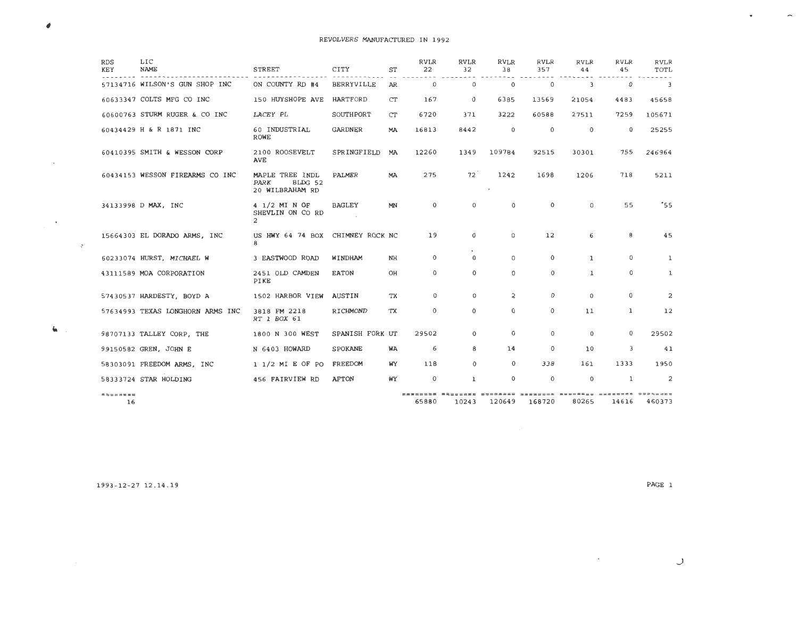| <b>RDS</b><br>KEY | LIC<br><b>NAME</b>               | <b>STREET</b>                                                | CITY              | ST        | <b>RVLR</b><br>22 | <b>RVLR</b><br>32 | <b>RVLR</b><br>38 | <b>RVLR</b><br>357 | <b>RVLR</b><br>44 | <b>RVLR</b><br>45 | <b>RVLR</b><br>TOTL     |
|-------------------|----------------------------------|--------------------------------------------------------------|-------------------|-----------|-------------------|-------------------|-------------------|--------------------|-------------------|-------------------|-------------------------|
|                   | 57134716 WILSON'S GUN SHOP INC   | ON COUNTY RD #4                                              | <b>BERRYVILLE</b> | AR        | $\Omega$          | $\circ$           | $\mathbf 0$       | $\circ$            | 3                 | $\mathbf 0$       | $\overline{\mathbf{3}}$ |
|                   | 60633347 COLTS MFG CO INC        | 150 HUYSHOPE AVE                                             | <b>HARTFORD</b>   | CT        | 167               | $\Omega$          | 6385              | 13569              | 21054             | 4483              | 45658                   |
|                   | 60600763 STURM RUGER & CO INC    | LACEY PL                                                     | SOUTHPORT         | CT        | 6720              | 371               | 3222              | 60588              | 27511             | 7259              | 105671                  |
|                   | 60434429 H & R 1871 INC          | 60 INDUSTRIAL<br><b>ROWE</b>                                 | <b>GARDNER</b>    | <b>MA</b> | 16813             | 8442              | $\mathbf{0}$      | $\Omega$           | $\Omega$          | $\Omega$          | 25255                   |
|                   | 60410395 SMITH & WESSON CORP     | 2100 ROOSEVELT<br>AVE                                        | SPRINGFIELD       | MA        | 12260             | 1349              | 109784            | 92515              | 30301             | 755               | 246964                  |
|                   | 60434153 WESSON FIREARMS CO INC  | MAPLE TREE INDL<br><b>PARK</b><br>BLDG 52<br>20 WILBRAHAM RD | PALMER            | MA        | 275               | 72                | 1242<br>$\bullet$ | 1698               | 1206              | 718               | 5211                    |
|                   | 34133998 D MAX, INC              | 4 1/2 MI N OF<br>SHEVLIN ON CO RD<br>$\overline{2}$          | <b>BAGLEY</b>     | MN        | $\Omega$          | $\Omega$          | 0                 | $\Omega$           | $\Omega$          | 55                | "55"                    |
|                   | 15664303 EL DORADO ARMS, INC     | US HWY 64 74 BOX CHIMNEY ROCK NC<br>8                        |                   |           | 19                | $\mathbf 0$       | 0                 | 12                 | 6                 | 8                 | 45                      |
|                   | 60233074 HURST, MICHAEL W        | 3 EASTWOOD ROAD                                              | WINDHAM           | NH        | $\Omega$          | $\Theta$          | $\Omega$          | $\Omega$           | $\mathbf{1}$      | $\Omega$          | $\mathbf{1}$            |
|                   | 43111589 MOA CORPORATION         | 2451 OLD CAMDEN<br>PIKE                                      | <b>EATON</b>      | OH        | $\mathbf 0$       | $\Omega$          | $\Omega$          | $\mathbf 0$        | 1                 | $\mathbf 0$       | $\mathbf 1$             |
|                   | 57430537 HARDESTY, BOYD A        | 1502 HARBOR VIEW                                             | AUSTIN            | TX        | $\Omega$          | $\Omega$          | $\overline{2}$    | $\Omega$           | $\Omega$          | $\Omega$          | 2                       |
|                   | 57634993 TEXAS LONGHORN ARMS INC | 3818 FM 2218<br>RT 1 BOX 61                                  | RICHMOND          | TX        | $\mathbf 0$       | $\mathbf 0$       | 0                 | $\mathbf 0$        | 11                | $\mathbf{1}$      | 12                      |
|                   | 98707133 TALLEY CORP, THE        | 1800 N 300 WEST                                              | SPANISH FORK UT   |           | 29502             | $\mathbf{0}$      | $\Omega$          | $\Omega$           | $\Omega$          | $\Omega$          | 29502                   |
|                   | 99150582 GREN, JOHN E            | N 6403 HOWARD                                                | SPOKANE           | WA        | 6                 | 8                 | 14                | $\mathbf 0$        | 10                | 3                 | 41                      |
|                   | 58303091 FREEDOM ARMS, INC       | $1 \frac{1}{2}$ MI E OF PO                                   | FREEDOM           | WУ        | 118               | $\Omega$          | $\Omega$          | 338                | 161               | 1333              | 1950                    |
|                   | 58333724 STAR HOLDING            | 456 FAIRVIEW RD                                              | <b>AFTON</b>      | WY        | $\Omega$          | $\mathbf{1}$      | $\Omega$          | $\Omega$           | $\Omega$          | 1                 | 2                       |
| --------<br>16    |                                  |                                                              |                   |           | 65880             | 10243             | 120649            | 168720             | 80265             | 14616             | $= 250$<br>460373       |

1993-12-27 12 . 14 . 19

PAGE 1

 $\mathcal{L}^{\mathcal{L}}$  and  $\mathcal{L}^{\mathcal{L}}$  and  $\mathcal{L}^{\mathcal{L}}$ 

 $\pmb{\theta}$ 

 $\sim$   $\sim$ 

**Contract Contract** 

 $\mathbf{G}(\mathbf{r},t)$ 

 $\sim 10^{11}$ 

 $\hat{\phantom{a}}$ 

 $\bullet$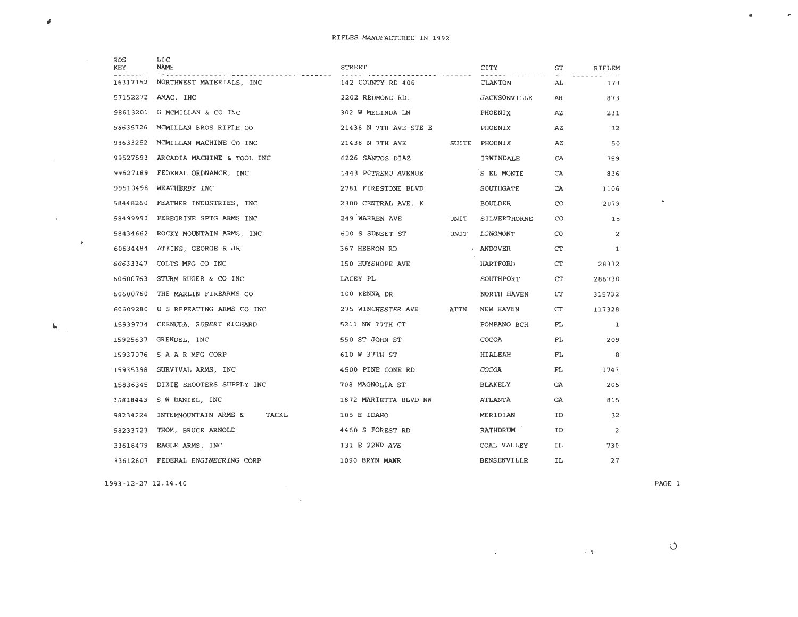|   | <b>RDS</b><br>KEY | LIC<br><b>NAME</b>                     | <b>STREET</b>         |             | CITY                | ST  | RIFLEM         |
|---|-------------------|----------------------------------------|-----------------------|-------------|---------------------|-----|----------------|
|   | 16317152          | NORTHWEST MATERIALS, INC               | 142 COUNTY RD 406     |             | CLANTON             | AL  | 173            |
|   |                   | 57152272 AMAC, INC                     | 2202 REDMOND RD.      |             | <b>JACKSONVILLE</b> | AR  | 873            |
|   |                   | 98613201 G MCMILLAN & CO INC           | 302 W MELINDA LN      |             | PHOENIX             | AZ  | 231            |
|   |                   | 98635726 MCMILLAN BROS RIFLE CO        | 21438 N 7TH AVE STE E |             | PHOENIX             | AZ  | 32             |
|   |                   | 98633252 MCMILLAN MACHINE CO INC       | 21438 N 7TH AVE       |             | SUITE PHOENIX       | AZ  | 50             |
|   |                   | 99527593 ARCADIA MACHINE & TOOL INC    | 6226 SANTOS DIAZ      |             | IRWINDALE           | CA  | 759            |
|   |                   | 99527189 FEDERAL ORDNANCE, INC         | 1443 POTRERO AVENUE   |             | S EL MONTE          | CA  | 836            |
|   | 99510498          | WEATHERBY INC                          | 2781 FIRESTONE BLVD   |             | SOUTHGATE           | CA  | 1106           |
|   |                   | 58448260 FEATHER INDUSTRIES, INC       | 2300 CENTRAL AVE. K   |             | BOULDER             | CO. | 2079           |
|   | 58499990          | PEREGRINE SPTG ARMS INC                | 249 WARREN AVE        | UNIT        | SILVERTHORNE        | CO  | 15             |
|   |                   | 58434662 ROCKY MOUNTAIN ARMS, INC      | 600 S SUNSET ST       | UNIT        | LONGMONT            | CO  | $\overline{a}$ |
| ÷ |                   | 60634484 ATKINS, GEORGE R JR           | 367 HEBRON RD         |             | · ANDOVER           | CT  | 1              |
|   |                   | 60633347 COLTS MFG CO INC              | 150 HUYSHOPE AVE      |             | HARTFORD            | CT  | 28332          |
|   |                   | 60600763 STURM RUGER & CO INC          | LACEY PL              |             | SOUTHPORT           | CT  | 286730         |
|   |                   | 60600760 THE MARLIN FIREARMS CO        | 100 KENNA DR          |             | NORTH HAVEN         | CT  | 315732         |
|   |                   | 60609280 U S REPEATING ARMS CO INC     | 275 WINCHESTER AVE    | <b>ATTN</b> | NEW HAVEN           | CT  | 117328         |
|   |                   | 15939734 CERNUDA, ROBERT RICHARD       | 5211 NW 77TH CT       |             | POMPANO BCH         | FL  | 1              |
|   |                   | 15925637 GRENDEL, INC                  | 550 ST JOHN ST        |             | COCOA               | FL  | 209            |
|   |                   | 15937076 S A A R MFG CORP              | 610 W 37TH ST         |             | HIALEAH             | FL  | 8              |
|   |                   | 15935398 SURVIVAL ARMS, INC            | 4500 PINE CONE RD     |             | COCOA               | FL  | 1743           |
|   |                   | 15836345 DIXIE SHOOTERS SUPPLY INC     | 708 MAGNOLIA ST       |             | BLAKELY             | GA  | 205            |
|   |                   | 15818443 S W DANIEL, INC               | 1872 MARIETTA BLVD NW |             | ATLANTA             | GA  | 815            |
|   |                   | 98234224 INTERMOUNTAIN ARMS &<br>TACKL | 105 E IDAHO           |             | MERIDIAN            | ID  | 32             |
|   |                   | 98233723 THOM, BRUCE ARNOLD            | 4460 S FOREST RD      |             | RATHDRUM            | ID  | $\overline{c}$ |
|   |                   | 33618479 EAGLE ARMS, INC               | 131 E 22ND AVE        |             | COAL VALLEY         | IL  | 730            |
|   | 33612807          | FEDERAL ENGINEERING CORP               | 1090 BRYN MAWR        |             | <b>BENSENVILLE</b>  | IL  | 27             |

 $\mathcal{L}^{\text{max}}_{\text{max}}$  , where  $\mathcal{L}^{\text{max}}_{\text{max}}$ 

1993-12-27 12 .14 . 40 PAGE 1

#

 $\sim$ 

 $\mathcal{A}^{\mathcal{A}}$  and  $\mathcal{A}^{\mathcal{A}}$ 

 $\mathbf{u}$ 

 $\alpha = 2$  .  $\alpha$ 

 $\bullet$ 

 $\overline{\phantom{a}}$ 

 $\bullet$ 

 $\mathcal{O}(\mathcal{O})$  . The set of the set of the set of the set of the set of the set of the set of the set of the set of the set of the set of the set of the set of the set of the set of the set of the set of the set of the se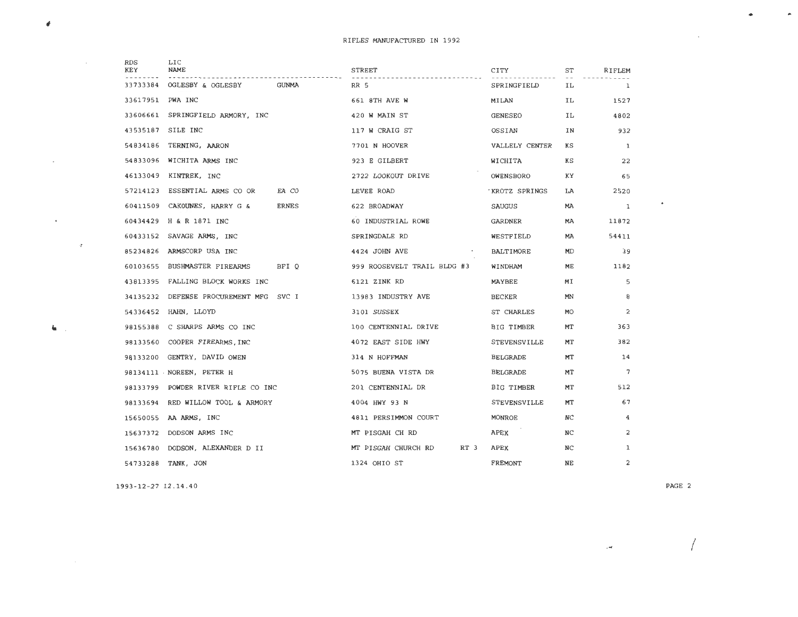| RDS<br>KEY       | LIC<br><b>NAME</b>                 | <b>STREET</b>                    | CITY             | ST        | RIFLEM       |
|------------------|------------------------------------|----------------------------------|------------------|-----------|--------------|
| 33733384         | OGLESBY & OGLESBY<br>GUNMA         | RR 5                             | SPRINGFIELD      | IL.       | 1            |
| 33617951 PWA INC |                                    | 661 8TH AVE W                    | MILAN            | ΙL        | 1527         |
| 33606661         | SPRINGFIELD ARMORY, INC            | 420 W MAIN ST                    | <b>GENESEO</b>   | IL        | 4802         |
| 43535187         | SILE INC                           | 117 W CRAIG ST                   | OSSIAN           | ΙN        | 932          |
| 54834186         | TERNING, AARON                     | 7701 N HOOVER                    | VALLELY CENTER   | КS        | <sup>1</sup> |
| 54833096         | WICHITA ARMS INC                   | 923 E GILBERT                    | WICHITA          | ΚS        | 22           |
| 46133049         | KINTREK, INC                       | 2722 LOOKOUT DRIVE               | OWENSBORO        | ΚY        | 65           |
| 57214123         | EA CO<br>ESSENTIAL ARMS CO OR      | LEVEE ROAD                       | KROTZ SPRINGS    | LA        | 2520         |
| 60411509         | CAKOUNES, HARRY G &<br>ERNES       | 622 BROADWAY                     | SAUGUS           | <b>MA</b> | 1            |
| 60434429         | H & R 1871 INC                     | 60 INDUSTRIAL ROWE               | GARDNER          | МA        | 11872        |
| 60433152         | SAVAGE ARMS, INC                   | SPRINGDALE RD                    | WESTFIELD        | MA        | 54411        |
| 85234826         | ARMSCORP USA INC                   | 4424 JOHN AVE<br><b>Contract</b> | <b>BALTIMORE</b> | MD        | 39           |
| 60103655         | BFI O<br>BUSHMASTER FIREARMS       | 999 ROOSEVELT TRAIL BLDG #3      | WINDHAM          | МE        | 1182         |
|                  | 43813395 FALLING BLOCK WORKS INC   | 6121 ZINK RD                     | MAYBEE           | MΙ        | 5            |
| 34135232         | DEFENSE PROCUREMENT MFG SVC I      | 13983 INDUSTRY AVE               | <b>BECKER</b>    | MN        | 8            |
| 54336452         | HAHN, LLOYD                        | 3101 SUSSEX                      | ST CHARLES       | <b>MO</b> | 2            |
|                  | 98155388 C SHARPS ARMS CO INC      | 100 CENTENNIAL DRIVE             | BIG TIMBER       | МT        | 363          |
| 98133560         | COOPER FIREARMS, INC               | 4072 EAST SIDE HWY               | STEVENSVILLE     | МT        | 382          |
| 98133200         | GENTRY, DAVID OWEN                 | 314 N HOFFMAN                    | <b>BELGRADE</b>  | МT        | 14           |
|                  | 98134111 NOREEN, PETER H           | 5075 BUENA VISTA DR              | BELGRADE         | МT        | 7            |
|                  | 98133799 POWDER RIVER RIFLE CO INC | 201 CENTENNIAL DR                | BIG TIMBER       | МT        | 512          |
| 98133694         | RED WILLOW TOOL & ARMORY           | 4004 HWY 93 N                    | STEVENSVILLE     | МT        | 67           |
|                  | 15650055 AA ARMS, INC              | 4811 PERSIMMON COURT             | MONROE           | NC        | 4            |
|                  | 15637372 DODSON ARMS INC           | MT PISGAH CH RD                  | APEX             | NC        | 2            |
|                  | 15636780 DODSON, ALEXANDER D II    | MT PISGAH CHURCH RD<br>RT 3      | APEX             | NC        | 1            |
| 54733288         | TANK, JON                          | 1324 OHIO ST                     | FREMONT          | NE        | 2            |

1993-12-27 12 . 14.40

PAGE 2

 $\sim$   $\sim$ 

•

 $\sim 10$ 

 $\sim$   $\sim$ 

 $\sim$ 

 $\sim 10^{-10}$  km  $^{-1}$ 

 $\sim 10^{-10}$  km s  $^{-1}$ 

 $\mathbf{G}(\mathbf{r}_1)$ 

 $\sim 10^{11}$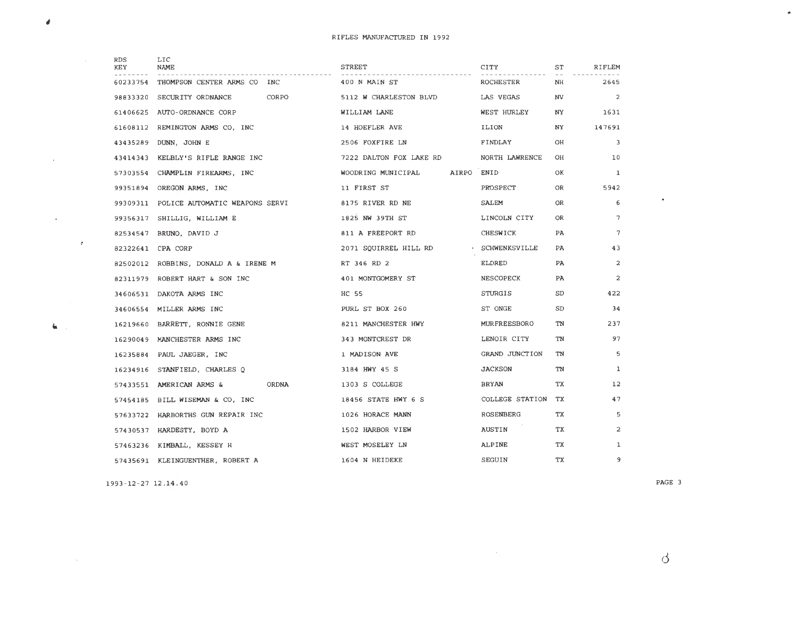| <b>RDS</b><br>KEY | LIC<br><b>NAME</b>                       | STREET                           | CITY                | ST        | RIFLEM         |
|-------------------|------------------------------------------|----------------------------------|---------------------|-----------|----------------|
| 60233754          | THOMPSON CENTER ARMS CO INC              | 400 N MAIN ST                    | ROCHESTER           | NH        | 2645           |
| 98833320          | CORPO<br>SECURITY ORDNANCE               | 5112 W CHARLESTON BLVD           | LAS VEGAS           | <b>NV</b> | $\overline{2}$ |
| 61406625          | AUTO-ORDNANCE CORP                       | WILLIAM LANE                     | WEST HURLEY         | NY.       | 1631           |
| 61608112          | REMINGTON ARMS CO, INC                   | 14 HOEFLER AVE                   | ILION               | NY.       | 147691         |
| 43435289          | DUNN, JOHN E                             | 2506 FOXFIRE LN                  | FINDLAY             | OН        | 3              |
| 43414343          | KELBLY'S RIFLE RANGE INC                 | 7222 DALTON FOX LAKE RD          | NORTH LAWRENCE      | OН        | 10             |
|                   | 57303554 CHAMPLIN FIREARMS, INC          | AIRPO ENID<br>WOODRING MUNICIPAL |                     | OК        | $\mathbf{1}$   |
| 99351894          | OREGON ARMS, INC                         | 11 FIRST ST                      | PROSPECT            | OR        | 5942           |
|                   | 99309311 POLICE AUTOMATIC WEAPONS SERVI  | 8175 RIVER RD NE                 | SALEM               | <b>OR</b> | 6              |
| 99356317          | SHILLIG, WILLIAM E                       | 1825 NW 39TH ST                  | LINCOLN CITY        | OR        | 7              |
| 82534547          | BRUNO, DAVID J                           | 811 A FREEPORT RD                | CHESWICK            | PA        | $\overline{7}$ |
| 82322641          | CPA CORP                                 | 2071 SQUIRREL HILL RD            | · SCHWENKSVILLE     | PA.       | 43             |
| 82502012          | ROBBINS, DONALD A & IRENE M              | RT 346 RD 2                      | ELDRED              | PA        | 2              |
|                   | 82311979 ROBERT HART & SON INC           | 401 MONTGOMERY ST                | <b>NESCOPECK</b>    | PA        | $\overline{a}$ |
|                   | 34606531 DAKOTA ARMS INC                 | HC 55                            | STURGIS             | SD        | 422            |
| 34606554          | MILLER ARMS INC                          | PURL ST BOX 260                  | ST ONGE             | SD        | 34             |
|                   | 16219660 BARRETT, RONNIE GENE            | 8211 MANCHESTER HWY              | <b>MURFREESBORO</b> | TN        | 237            |
|                   | 16290049 MANCHESTER ARMS INC             | 343 MONTCREST DR                 | LENOIR CITY         | TN        | 97             |
|                   | 16235884 PAUL JAEGER, INC                | 1 MADISON AVE                    | GRAND JUNCTION      | TN        | 5              |
|                   | 16234916 STANFIELD, CHARLES Q            | 3184 HWY 45 S                    | <b>JACKSON</b>      | TN        | $\mathbf{1}$   |
|                   | <b>ORDNA</b><br>57433551 AMERICAN ARMS & | 1303 S COLLEGE                   | BRYAN               | <b>TX</b> | 12             |
|                   | 57454185 BILL WISEMAN & CO, INC          | 18456 STATE HWY 6 S              | COLLEGE STATION     | ТX        | 47             |
|                   | 57633722 HARBORTHS GUN REPAIR INC        | 1026 HORACE MANN                 | ROSENBERG           | <b>TX</b> | 5              |
|                   | 57430537 HARDESTY, BOYD A                | 1502 HARBOR VIEW                 | AUSTIN              | TX        | $\overline{a}$ |
|                   | 57463236 KIMBALL, KESSEY H               | WEST MOSELEY LN                  | ALPINE              | TX        | $\mathbf{1}$   |
|                   | 57435691 KLEINGUENTHER, ROBERT A         | 1604 N HEIDEKE                   | SEGUIN              | TХ        | 9              |

 $\mathcal{L}^{\text{max}}_{\text{max}}$  and  $\mathcal{L}^{\text{max}}_{\text{max}}$ 

1993-12-27 12.14.40

 $\pmb{\phi}$ 

 $\sim$ 

 $\mathcal{A}^{\mathcal{A}}$  .

 $\mathbf{G}(\mathbf{r},\mathbf{r})$ 

 $\sim 10^6$ 

 $\sim 10^{11}$  km s  $^{-1}$ 

PAGE 3

 $\Delta$ 

 $\bullet$ 

 $\bullet$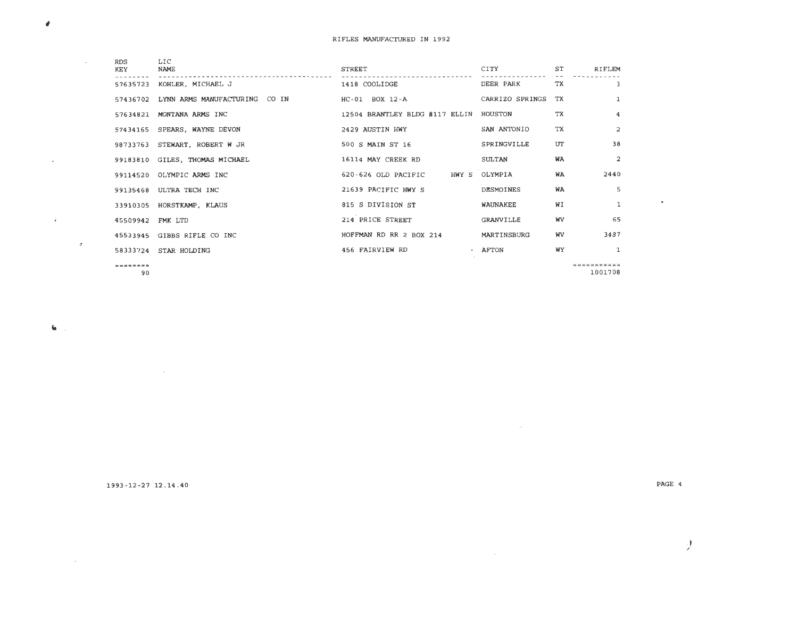| <b>RDS</b>        | LIC                            |                                        |                 |           |               |
|-------------------|--------------------------------|----------------------------------------|-----------------|-----------|---------------|
| KEY               | <b>NAME</b>                    | STREET                                 | CITY            | ST        | <b>RIFLEM</b> |
|                   | 57635723 KOHLER, MICHAEL J     | 1418 COOLIDGE                          | DEER PARK       | TX        | $\mathbf{B}$  |
| 57436702          | LYNN ARMS MANUFACTURING CO IN  | HC-01 BOX 12-A                         | CARRIZO SPRINGS | TX        | 1             |
|                   | 57634821 MONTANA ARMS INC      | 12504 BRANTLEY BLDG #117 ELLIN HOUSTON |                 | TX        | 4             |
|                   | 57434165 SPEARS, WAYNE DEVON   | 2429 AUSTIN HWY                        | SAN ANTONIO     | <b>TX</b> | 2             |
|                   | 98733763 STEWART, ROBERT W JR  | 500 S MAIN ST 16                       | SPRINGVILLE     | UT        | 38            |
|                   | 99183810 GILES, THOMAS MICHAEL | 16114 MAY CREEK RD                     | SULTAN          | WA        | 2             |
|                   | 99114520 OLYMPIC ARMS INC      | 620-626 OLD PACIFIC HWY S OLYMPIA      |                 | WA        | 2440          |
| 99135468          | ULTRA TECH INC                 | 21639 PACIFIC HWY S                    | DESMOINES       | WA        | 5             |
|                   | 33910305 HORSTKAMP, KLAUS      | 815 S DIVISION ST                      | WAUNAKEE        | WΙ        | $\mathbf{1}$  |
| 45509942 FMK LTD  |                                | 214 PRICE STREET                       | GRANVILLE       | <b>WV</b> | 65            |
|                   | 45533945 GIBBS RIFLE CO INC    | HOFFMAN RD RR 2 BOX 214                | MARTINSBURG     | WV        | 3487          |
|                   | 58333724 STAR HOLDING          | 456 FAIRVIEW RD                        | $\cdot$ AFTON   | WY        | $\mathbf{1}$  |
| $=$ = = = = = = = |                                |                                        |                 |           | ===========   |

90

 $\pmb{\theta}$ 

 $\sim$ 

 $\mathcal{L}$ 

 $\mathbf{G}$ 

 $\mathcal{A}^{\pm}$ 

 $\alpha$  ,  $\alpha$  ,  $\alpha$  ,  $\alpha$ 

 $\sim 100$ 

=== ===== === 100 <sup>17</sup> <sup>08</sup>

1993-12-27 12 . 14.40

PAGE 4

 $\bullet$ 

I /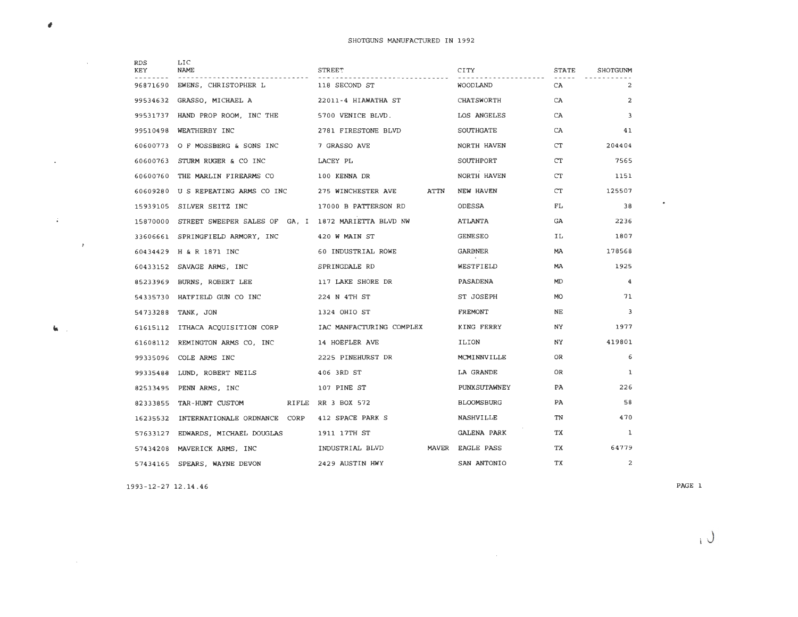|   | RDS<br>KEY | LIC.<br><b>NAME</b>                                 | STREET                   |      | CITY              | <b>STATE</b> | SHOTGUNM       |
|---|------------|-----------------------------------------------------|--------------------------|------|-------------------|--------------|----------------|
|   | 96871690   | EWENS, CHRISTOPHER L                                | 118 SECOND ST            |      | WOODLAND          | CA           | 2              |
|   | 99534632   | GRASSO, MICHAEL A                                   | 22011-4 HIAWATHA ST      |      | CHATSWORTH        | CA           | $\overline{2}$ |
|   | 99531737   | HAND PROP ROOM, INC THE                             | 5700 VENICE BLVD.        |      | LOS ANGELES       | CA           | 3              |
|   | 99510498   | WEATHERBY INC                                       | 2781 FIRESTONE BLVD      |      | SOUTHGATE         | CA           | 41             |
|   | 60600773   | O F MOSSBERG & SONS INC                             | 7 GRASSO AVE             |      | NORTH HAVEN       | CT           | 204404         |
|   | 60600763   | STURM RUGER & CO INC                                | LACEY PL                 |      | SOUTHPORT         | CT           | 7565           |
|   | 60600760   | THE MARLIN FIREARMS CO                              | 100 KENNA DR             |      | NORTH HAVEN       | CT.          | 1151           |
|   | 60609280   | U S REPEATING ARMS CO INC                           | 275 WINCHESTER AVE       | ATTN | NEW HAVEN         | CT           | 125507         |
|   | 15939105   | SILVER SEITZ INC                                    | 17000 B PATTERSON RD     |      | ODESSA            | FL.          | 38             |
|   | 15870000   | STREET SWEEPER SALES OF GA, I 1872 MARIETTA BLVD NW |                          |      | ATLANTA           | GA           | 2236           |
|   |            | 33606661 SPRINGFIELD ARMORY, INC                    | 420 W MAIN ST            |      | <b>GENESEO</b>    | IL.          | 1807           |
| ÷ |            | 60434429 H & R 1871 INC                             | 60 INDUSTRIAL ROWE       |      | GARDNER           | <b>MA</b>    | 178568         |
|   | 60433152   | SAVAGE ARMS, INC                                    | SPRINGDALE RD            |      | WESTFIELD         | <b>MA</b>    | 1925           |
|   | 85233969   | BURNS, ROBERT LEE                                   | 117 LAKE SHORE DR        |      | PASADENA          | MD.          | $\overline{4}$ |
|   | 54335730   | HATFIELD GUN CO INC                                 | 224 N 4TH ST             |      | ST JOSEPH         | <b>MO</b>    | 71             |
|   | 54733288   | TANK, JON                                           | 1324 OHIO ST             |      | <b>FREMONT</b>    | NE           | 3              |
|   |            | 61615112 ITHACA ACOUISITION CORP                    | IAC MANFACTURING COMPLEX |      | KING FERRY        | NY.          | 1977           |
|   | 61608112   | REMINGTON ARMS CO, INC                              | 14 HOEFLER AVE           |      | ILION             | NY.          | 419801         |
|   | 99335096   | COLE ARMS INC                                       | 2225 PINEHURST DR        |      | MCMINNVILLE       | OR           | 6              |
|   | 99335488   | LUND, ROBERT NEILS                                  | 406 3RD ST               |      | LA GRANDE         | 0R           | $\mathbf{1}$   |
|   | 82533495   | PENN ARMS, INC                                      | 107 PINE ST              |      | PUNXSUTAWNEY      | PA           | 226            |
|   | 82333855   | TAR-HUNT CUSTOM                                     | RIFLE RR 3 BOX 572       |      | <b>BLOOMSBURG</b> | PA           | 58             |
|   | 16235532   | INTERNATIONALE ORDNANCE CORP                        | 412 SPACE PARK S         |      | NASHVILLE         | TN           | 470            |
|   | 57633127   | EDWARDS, MICHAEL DOUGLAS                            | 1911 17TH ST             |      | GALENA PARK       | TX           | 1              |
|   | 57434208   | MAVERICK ARMS, INC                                  | INDUSTRIAL BLVD          |      | MAVER EAGLE PASS  | TХ           | 64779          |
|   |            | 57434165 SPEARS, WAYNE DEVON                        | 2429 AUSTIN HWY          |      | SAN ANTONIO       | ТX           | 2              |

 $\label{eq:2.1} \mathcal{L}(\mathcal{L}^{\text{max}}_{\mathcal{L}}(\mathcal{L}^{\text{max}}_{\mathcal{L}}))\leq \mathcal{L}(\mathcal{L}^{\text{max}}_{\mathcal{L}}(\mathcal{L}^{\text{max}}_{\mathcal{L}}))$ 

1993-12-27 12.14.46

 $\pmb{\theta}$ 

 $\mathcal{L}(\mathcal{A})$  and  $\mathcal{L}(\mathcal{A})$  and  $\mathcal{L}(\mathcal{A})$ 

 $\mathcal{A}^{\text{max}}$  and  $\mathcal{A}^{\text{max}}$ 

 $\mathbf{K}(\mathbf{u})$ 

PAGE 1

 $\mathcal{L}^{\text{max}}$  and  $\mathcal{L}^{\text{max}}$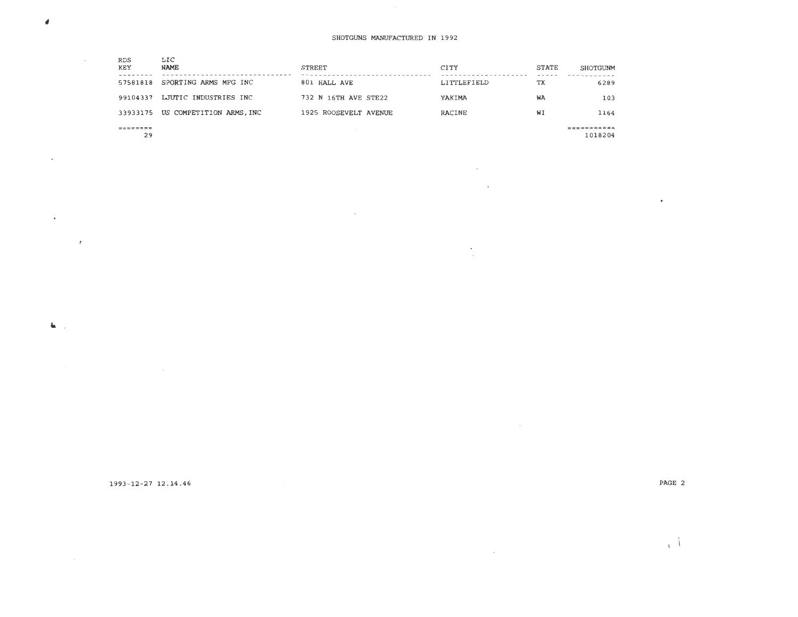$\sim 10^{11}$  km s  $^{-1}$  $\sim$ 

 $\mathcal{A}$  $\sim$ 

 $\mathcal{L}(\mathcal{L})$  and  $\mathcal{L}(\mathcal{L})$  .

| <b>RDS</b><br>KEY<br>57581818 | LIC<br><b>NAME</b><br>SPORTING ARMS MFG INC | <b>STREET</b><br>801 HALL AVE | CITY<br>LITTLEFIELD | <b>STATE</b><br>TХ | SHOTGUNM<br>6289 |
|-------------------------------|---------------------------------------------|-------------------------------|---------------------|--------------------|------------------|
| 99104337                      | LJUTIC INDUSTRIES INC                       | 732 N 16TH AVE STE22          | YAKIMA              | WA                 | 103              |
|                               | 33933175 US COMPETITION ARMS, INC           | 1925 ROOSEVELT AVENUE         | RACINE              | WI                 | 1164             |
| =======                       |                                             |                               |                     |                    | ======           |

 $\sim 100$ 

29

 $\pmb{\theta}$ 

 $\sim$ 

 $\langle \rangle$ 

 $\mathbf{G}_{\mathbf{K}}$  ,  $\mathbf{G}_{\mathbf{K}}$ 

 $\sim 100$ 

1018204

1993 - 12-27 12 .14.46

PAGE 2

 $\sim$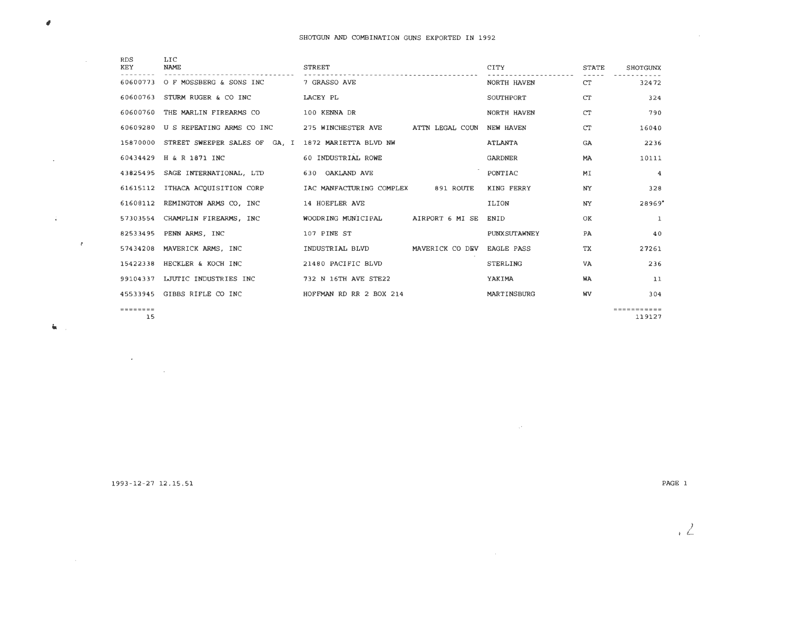| <b>RDS</b><br><b>KEY</b> | LIC<br><b>NAME</b>            | <b>STREET</b>            |                 | CITY                | <b>STATE</b> | <b>SHOTGUNX</b> |
|--------------------------|-------------------------------|--------------------------|-----------------|---------------------|--------------|-----------------|
| 60600773                 | O F MOSSBERG & SONS INC       | 7 GRASSO AVE             |                 | NORTH HAVEN         | <b>CT</b>    | 32472           |
| 60600763                 | STURM RUGER & CO INC          | LACEY PL                 |                 | SOUTHPORT           | <b>CT</b>    | 324             |
| 60600760                 | THE MARLIN FIREARMS CO        | 100 KENNA DR             |                 | NORTH HAVEN         | CT           | 790             |
| 60609280                 | U S REPEATING ARMS CO INC     | 275 WINCHESTER AVE       | ATTN LEGAL COUN | NEW HAVEN           | <b>CT</b>    | 16040           |
| 15870000                 | STREET SWEEPER SALES OF GA, I | 1872 MARIETTA BLVD NW    |                 | <b>ATLANTA</b>      | <b>GA</b>    | 2236            |
| 60434429                 | H & R 1871 INC                | 60 INDUSTRIAL ROWE       |                 | <b>GARDNER</b>      | <b>MA</b>    | 10111           |
| 43825495                 | SAGE INTERNATIONAL, LTD       | 630 OAKLAND AVE          |                 | PONTIAC             | MI           | $\overline{4}$  |
| 61615112                 | ITHACA ACQUISITION CORP       | IAC MANFACTURING COMPLEX | 891 ROUTE       | KING FERRY          | NY           | 328             |
| 61608112                 | REMINGTON ARMS CO, INC        | 14 HOEFLER AVE           |                 | <b>ILION</b>        | NY.          | 28969           |
| 57303554                 | CHAMPLIN FIREARMS, INC        | WOODRING MUNICIPAL       | AIRPORT 6 MI SE | ENID                | OK           | 1               |
| 82533495                 | PENN ARMS, INC                | 107 PINE ST              |                 | <b>PUNXSUTAWNEY</b> | <b>PA</b>    | 40              |
| 57434208                 | MAVERICK ARMS, INC            | INDUSTRIAL BLVD          | MAVERICK CO DEV | <b>EAGLE PASS</b>   | ТX           | 27261           |
| 15422338                 | HECKLER & KOCH INC            | 21480 PACIFIC BLVD       |                 | <b>STERLING</b>     | <b>VA</b>    | 236             |
| 99104337                 | LJUTIC INDUSTRIES INC         | 732 N 16TH AVE STE22     |                 | YAKIMA              | <b>WA</b>    | 11              |
| 45533945                 | GIBBS RIFLE CO INC            | HOFFMAN RD RR 2 BOX 214  |                 | MARTINSBURG         | <b>WV</b>    | 304             |
| ========                 |                               |                          |                 |                     |              | ===========     |

15

 $\mathcal{L}^{\text{max}}_{\text{max}}$  $\mathcal{L}^{\text{max}}_{\text{max}}$  and

 $\sim40$ 

 $\sim$ 

 $\pmb{\theta}$ 

 $\sim$ 

 $\mathcal{A}^{\pm}$ 

 $\mathbf{h}_\mathrm{c}$ 

=========== 11 <sup>9127</sup>

 $\sim 10^{11}$ 

 $\sim 10^{11}$  km s  $^{-1}$ 

1993-12-27 12.15.51

PAGE 1

 $\sim 100$ 

i *!...*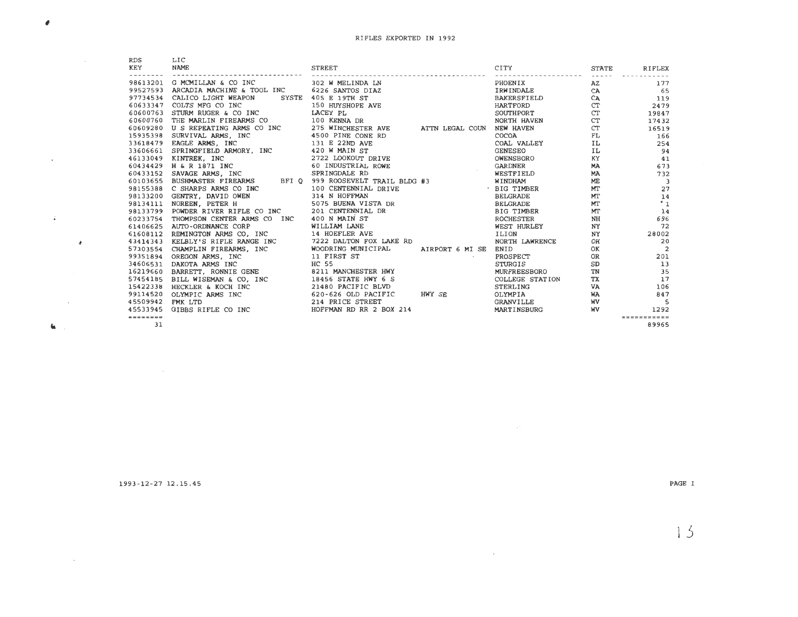| RDS      | LIC                                                |                                                                                                                                                                                                                                                  |                                                                                                                                          |                                                                                                                |                          |
|----------|----------------------------------------------------|--------------------------------------------------------------------------------------------------------------------------------------------------------------------------------------------------------------------------------------------------|------------------------------------------------------------------------------------------------------------------------------------------|----------------------------------------------------------------------------------------------------------------|--------------------------|
| KEY      | <b>NAME</b>                                        | <b>STREET</b>                                                                                                                                                                                                                                    | CITY                                                                                                                                     | <b>STATE</b>                                                                                                   | <b>RIFLEX</b>            |
|          | 98613201 G MCMILLAN & CO INC                       | 302 W MELINDA LN                                                                                                                                                                                                                                 | PHOENIX                                                                                                                                  | AZ                                                                                                             | 177                      |
|          | 99527593 ARCADIA MACHINE & TOOL INC                | 6226 SANTOS DIAZ                                                                                                                                                                                                                                 |                                                                                                                                          |                                                                                                                |                          |
| 97734534 | CALICO LIGHT WEAPON                                | SYSTE 405 E 19TH ST                                                                                                                                                                                                                              |                                                                                                                                          |                                                                                                                | CA 65<br>CA 119          |
| 60633347 | COLTS MFG CO INC                                   | <b>150 HUYSHOPE AVE</b>                                                                                                                                                                                                                          |                                                                                                                                          | CT                                                                                                             | 2479                     |
| 60600763 | STURM RUGER & CO INC                               | LACEY PL                                                                                                                                                                                                                                         |                                                                                                                                          | CT                                                                                                             | 19847                    |
|          | 60600760 THE MARLIN FIREARMS CO 100 KENNA DR       |                                                                                                                                                                                                                                                  |                                                                                                                                          | CT                                                                                                             | 17432                    |
| 60609280 | U S REPEATING ARMS CO INC                          | 275 WINCHESTER AVE ATTN LEGAL COUN                                                                                                                                                                                                               |                                                                                                                                          | CT                                                                                                             | 16519                    |
| 15935398 | SURVIVAL ARMS, INC                                 | 4500 PINE CONE RD                                                                                                                                                                                                                                |                                                                                                                                          | FL 9                                                                                                           | 166                      |
|          |                                                    |                                                                                                                                                                                                                                                  |                                                                                                                                          | IL DESCRIPTION OF REAL PROPERTY.                                                                               | 254                      |
|          |                                                    |                                                                                                                                                                                                                                                  | PHOENIX<br>IRMINDALE<br>BAKERSFIELD<br>HARTFORD<br>NORTH HAVEN<br>NORTH HAVEN<br>COAL<br>COAL VALLEY<br>GENESEO<br>OWENSBORO<br>NORTHORD | IL                                                                                                             | 94                       |
|          |                                                    |                                                                                                                                                                                                                                                  |                                                                                                                                          | KY THE TEXT OF THE TEXT OF THE TEXT OF THE TEXT OF THE TEXT OF THE TEXT OF THE TEXT OF THE TEXT OF THE TEXT OF | 41                       |
|          |                                                    |                                                                                                                                                                                                                                                  | <b>GARDNER</b>                                                                                                                           |                                                                                                                | <b>MA</b><br>673         |
|          |                                                    | 15935398 SURVIVAL ARMS, INC<br>33618479 EAGLE ARMS, INC<br>33606661 SPRINGFIBLD ARMORY, INC<br>420 MAIN ST<br>46133049 KINTREK, INC<br>60434429 H & R 1871 INC<br>60433152 SAVAGE ARMS, INC<br>50433152 SAVAGE ARMS, INC<br>59781NGDALE RD       |                                                                                                                                          | <b>MA</b>                                                                                                      | 732                      |
|          |                                                    |                                                                                                                                                                                                                                                  |                                                                                                                                          | ME                                                                                                             | $\overline{\mathbf{3}}$  |
|          |                                                    |                                                                                                                                                                                                                                                  |                                                                                                                                          | MT                                                                                                             | 27                       |
|          |                                                    |                                                                                                                                                                                                                                                  |                                                                                                                                          | MT                                                                                                             | 14                       |
|          |                                                    | 60434429 H & R 1871 INC SPRINGDALE RD<br>60433429 H & R 1871 INC SPRINGDALE RD<br>60433152 SAVAGE ARMS, INC SPRINGDALE RAIL BLDG #3 WINDHAM<br>98155388 C SHARPS ARMS CO INC 100 CENTENNIAL DRIVE<br>98133200 GENTRY, DAVID OWEN 314 N           |                                                                                                                                          | MT                                                                                                             | $\cdot$ 1                |
|          |                                                    |                                                                                                                                                                                                                                                  |                                                                                                                                          | MT                                                                                                             | 14                       |
|          |                                                    |                                                                                                                                                                                                                                                  |                                                                                                                                          | NH                                                                                                             | 696                      |
|          |                                                    |                                                                                                                                                                                                                                                  | WEST HURLEY                                                                                                                              | NY                                                                                                             | 72                       |
|          |                                                    |                                                                                                                                                                                                                                                  |                                                                                                                                          | NY                                                                                                             | 28002                    |
| 43414343 | KELBLY'S RIFLE RANGE INC 7222 DALTON FOX LAKE RD   |                                                                                                                                                                                                                                                  | NORTH LAWRENCE                                                                                                                           | OH                                                                                                             | 20                       |
|          | 57303554 CHAMPLIN FIREARMS, INC WOODRING MUNICIPAL | AIRPORT 6 MI SE                                                                                                                                                                                                                                  | ENID                                                                                                                                     | ОК                                                                                                             | $\overline{2}$           |
|          |                                                    | $\mathcal{O}(\mathcal{O}_\mathcal{O})$ . The set of $\mathcal{O}_\mathcal{O}(\mathcal{O}_\mathcal{O})$                                                                                                                                           | PROSPECT                                                                                                                                 | OR                                                                                                             | 201                      |
|          |                                                    |                                                                                                                                                                                                                                                  | STURGIS                                                                                                                                  | SD                                                                                                             | 13                       |
|          |                                                    | 16219660 BARRETT, RONNIE GENE 8211 MANCHESTER HWY                                                                                                                                                                                                | MURFREESBORO                                                                                                                             | TN                                                                                                             | 35                       |
|          |                                                    |                                                                                                                                                                                                                                                  | COLLEGE STATION                                                                                                                          | TX                                                                                                             | 17                       |
|          |                                                    |                                                                                                                                                                                                                                                  | STERLING                                                                                                                                 | VA                                                                                                             | 106                      |
|          |                                                    | 57454185 BILL WISEMAN & CO, INC<br>18456 STATE HWY 6 S<br>18422338 HECKLER & KOCH INC<br>99114520 OLYMPIC ARMS INC<br>45509942 FMK LTD<br>45509942 FMK LTD<br>214 BRICE STATE HWY SE<br>45509942 FMK LTD<br>214 BRICE STREET<br>214 BRICE STREET | OLYMPIA                                                                                                                                  | WA                                                                                                             | 847                      |
|          |                                                    |                                                                                                                                                                                                                                                  | <b>GRANVILLE</b>                                                                                                                         | <b>WV</b>                                                                                                      | $\overline{\phantom{0}}$ |
|          | 45533945 GIBBS RIFLE CO INC                        | HOFFMAN RD RR 2 BOX 214                                                                                                                                                                                                                          | MARTINSBURG                                                                                                                              | <b>WV</b>                                                                                                      | 1292                     |
| -------- |                                                    |                                                                                                                                                                                                                                                  |                                                                                                                                          |                                                                                                                | <b>***********</b>       |
| 31       |                                                    |                                                                                                                                                                                                                                                  |                                                                                                                                          |                                                                                                                | 89965                    |
|          |                                                    |                                                                                                                                                                                                                                                  |                                                                                                                                          |                                                                                                                |                          |

 $\mathcal{L}(\mathcal{L}(\mathcal{L}))$  and  $\mathcal{L}(\mathcal{L}(\mathcal{L}))$  .

1993-12-27 12.15.45

 $\mathcal{L}^{\text{max}}_{\text{max}}$  and  $\mathcal{L}^{\text{max}}_{\text{max}}$ 

 $\pmb{\sigma}$ 

 $\mathcal{L}(\mathcal{A})$  and  $\mathcal{L}(\mathcal{A})$  .

 $40\%$  and  $10\%$ 

 $\mathbf{G}(\mathbf{r},\mathbf{r})$ 

 $\mathcal{L}^{\mathcal{L}}$  and  $\mathcal{L}^{\mathcal{L}}$  and  $\mathcal{L}^{\mathcal{L}}$ 

 $\mathcal{A}$ 

PAGE 1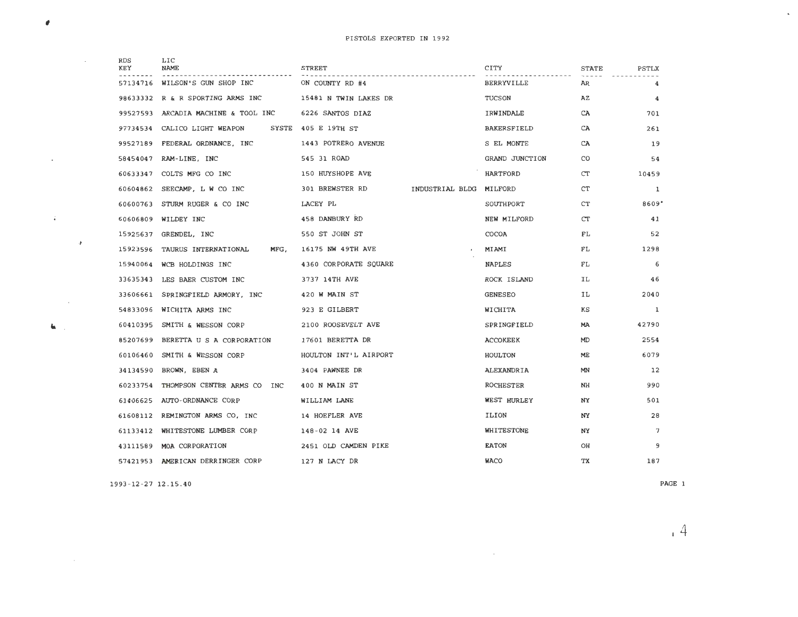| RDS<br>KEY | LIC<br>NAME                      | STREET                |                         | CITY               | <b>STATE</b> | PSTLX           |
|------------|----------------------------------|-----------------------|-------------------------|--------------------|--------------|-----------------|
| 57134716   | WILSON'S GUN SHOP INC            | ON COUNTY RD #4       |                         | <b>BERRYVILLE</b>  | AR           | 4               |
| 98633332   | R & R SPORTING ARMS INC          | 15481 N TWIN LAKES DR |                         | TUCSON             | AZ           | 4               |
| 99527593   | ARCADIA MACHINE & TOOL INC       | 6226 SANTOS DIAZ      |                         | IRWINDALE          | CA           | 701             |
| 97734534   | CALICO LIGHT WEAPON              | SYSTE 405 E 19TH ST   |                         | <b>BAKERSFIELD</b> | CA           | 261             |
| 99527189   | FEDERAL ORDNANCE, INC            | 1443 POTRERO AVENUE   |                         | S EL MONTE         | CA           | 19              |
| 58454047   | RAM-LINE, INC                    | 545 31 ROAD           |                         | GRAND JUNCTION     | CO           | 54              |
| 60633347   | COLTS MFG CO INC                 | 150 HUYSHOPE AVE      |                         | HARTFORD           | CT           | 10459           |
| 60604862   | SEECAMP, L W CO INC              | 301 BREWSTER RD       | INDUSTRIAL BLDG MILFORD |                    | CT           | 1               |
| 60600763   | STURM RUGER & CO INC             | LACEY PL              |                         | SOUTHPORT          | CT           | 8609"           |
| 60606809   | WILDEY INC                       | 458 DANBURY RD        |                         | NEW MILFORD        | CT           | 41              |
| 15925637   | GRENDEL, INC                     | 550 ST JOHN ST        |                         | COCOA              | FL           | 52              |
| 15923596   | TAURUS INTERNATIONAL<br>MFG,     | 16175 NW 49TH AVE     |                         | MIAMI              | FL           | 1298            |
| 15940064   | WCB HOLDINGS INC                 | 4360 CORPORATE SOUARE |                         | <b>NAPLES</b>      | FL.          | 6               |
| 33635343   | LES BAER CUSTOM INC              | 3737 14TH AVE         |                         | ROCK ISLAND        | IL           | 46              |
| 33606661   | SPRINGFIELD ARMORY, INC          | 420 W MAIN ST         |                         | <b>GENESEO</b>     | IL           | 2040            |
| 54833096   | WICHITA ARMS INC                 | 923 E GILBERT         |                         | WICHITA            | κs           | 1               |
| 60410395   | SMITH & WESSON CORP              | 2100 ROOSEVELT AVE    |                         | SPRINGFIELD        | MA           | 42790           |
| 85207699   | BERETTA U S A CORPORATION        | 17601 BERETTA DR      |                         | <b>ACCOKEEK</b>    | MD           | 2554            |
| 60106460   | SMITH & WESSON CORP              | HOULTON INT'L AIRPORT |                         | HOULTON            | ME           | 6079            |
| 34134590   | BROWN, EBEN A                    | 3404 PAWNEE DR        |                         | ALEXANDRIA         | MN           | 12              |
| 60233754   | THOMPSON CENTER ARMS CO INC      | 400 N MAIN ST         |                         | ROCHESTER          | NH           | 990             |
| 61406625   | AUTO-ORDNANCE CORP               | WILLIAM LANE          |                         | WEST HURLEY        | NY           | 501             |
| 61608112   | REMINGTON ARMS CO, INC           | 14 HOEFLER AVE        |                         | ILION              | NY           | 28              |
| 61133412   | WHITESTONE LUMBER CORP           | 148-02 14 AVE         |                         | WHITESTONE         | NY           | $7\overline{ }$ |
| 43111589   | MOA CORPORATION                  | 2451 OLD CAMDEN PIKE  |                         | <b>EATON</b>       | OH           | 9               |
|            | 57421953 AMERICAN DERRINGER CORP | 127 N LACY DR         |                         | <b>WACO</b>        | ТX           | 187             |
|            |                                  |                       |                         |                    |              |                 |

1993-12 - 27 12.15 . 40

#

 $\mathcal{A}^{\mathcal{A}}$  and  $\mathcal{A}^{\mathcal{A}}$ 

 $\mathcal{L}_{\mathcal{A}}$ 

 $\sim$   $\lambda$ 

 $\alpha$  ,  $\alpha$  ,  $\alpha$  ,  $\alpha$ 

 $\mathbf{K} \in \mathbb{R}^{n \times n}$ 

 $\sim$   $\sim$ 

PAGE 1

 $\mathcal{A}^{\pm}$ 

14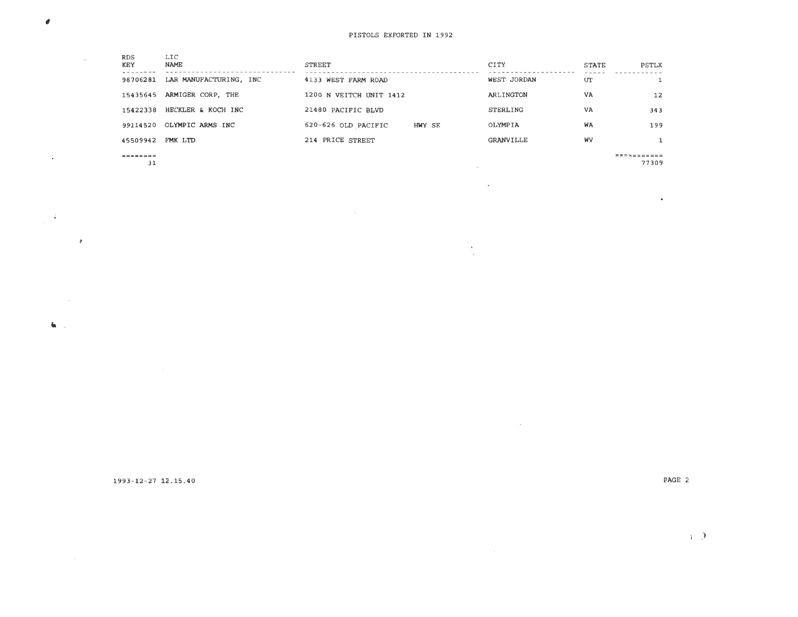| <b>RDS</b><br><b>KEY</b> | LIC<br><b>NAME</b>     | <b>STREET</b>           |        | CITY        | <b>STATE</b> | PSTLX       |
|--------------------------|------------------------|-------------------------|--------|-------------|--------------|-------------|
| 98706281                 | LAR MANUFACTURING, INC | 4133 WEST FARM ROAD     |        | WEST JORDAN | UT           |             |
| 15435645                 | ARMIGER CORP, THE      | 1200 N VEITCH UNIT 1412 |        | ARLINGTON   | VA           | 12          |
| 15422338                 | HECKLER & KOCH INC     | 21480 PACIFIC BLVD      |        | STERLING    | VA           | 343         |
| 99114520                 | OLYMPIC ARMS INC       | 620-626 OLD PACIFIC     | HWY SE | OLYMPIA     | WA           | 199         |
| 45509942                 | FMK LTD                | 214 PRICE STREET        |        | GRANVILLE   | <b>WV</b>    |             |
| --------                 |                        |                         |        |             |              | ----------- |

and a state of  $\sim 10^7$ 

 $\frac{1}{2} \frac{1}{2}$ 

31

 $\pmb{\theta}$ 

 $\sim 10^{11}$ 

 $\mathcal{A}(\mathcal{A})$  and  $\mathcal{A}(\mathcal{A})$ 

 $\sim 100$ 

 $\sim 100$ 

 $\mathbf{G}(\cdot)$  .

 $\sim 4$ 

77309

 $\sim$ 

1993-12-27 12.15 . 40

PAGE 2